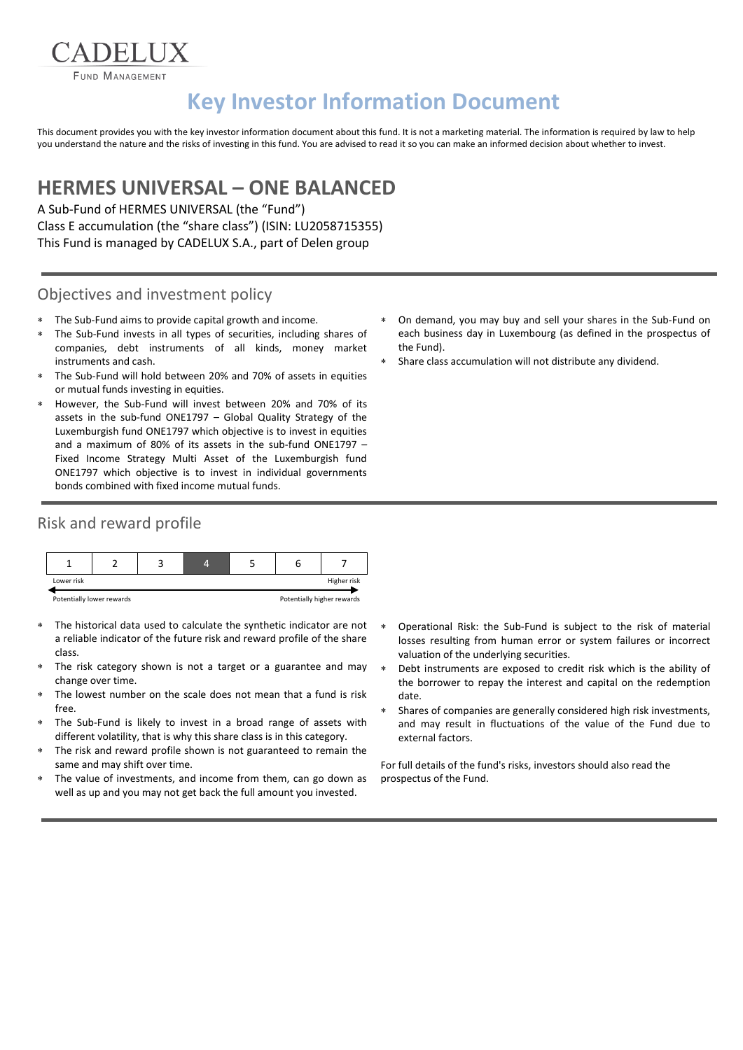FUND MANAGEMENT

ADELIX

# **Key Investor Information Document**

This document provides you with the key investor information document about this fund. It is not a marketing material. The information is required by law to help you understand the nature and the risks of investing in this fund. You are advised to read it so you can make an informed decision about whether to invest.

## **HERMES UNIVERSAL – ONE BALANCED**

A Sub-Fund of HERMES UNIVERSAL (the "Fund") Class E accumulation (the "share class") (ISIN: LU2058715355) This Fund is managed by CADELUX S.A., part of Delen group

#### Objectives and investment policy

- The Sub-Fund aims to provide capital growth and income.
- The Sub-Fund invests in all types of securities, including shares of companies, debt instruments of all kinds, money market instruments and cash.
- The Sub-Fund will hold between 20% and 70% of assets in equities or mutual funds investing in equities.
- However, the Sub-Fund will invest between 20% and 70% of its assets in the sub-fund ONE1797 – Global Quality Strategy of the Luxemburgish fund ONE1797 which objective is to invest in equities and a maximum of 80% of its assets in the sub-fund ONE1797 – Fixed Income Strategy Multi Asset of the Luxemburgish fund ONE1797 which objective is to invest in individual governments bonds combined with fixed income mutual funds.

#### Risk and reward profile



- The historical data used to calculate the synthetic indicator are not a reliable indicator of the future risk and reward profile of the share class.
- The risk category shown is not a target or a guarantee and may change over time.
- The lowest number on the scale does not mean that a fund is risk free.
- The Sub-Fund is likely to invest in a broad range of assets with different volatility, that is why this share class is in this category.
- The risk and reward profile shown is not guaranteed to remain the same and may shift over time.
- The value of investments, and income from them, can go down as well as up and you may not get back the full amount you invested.
- On demand, you may buy and sell your shares in the Sub-Fund on each business day in Luxembourg (as defined in the prospectus of the Fund).
- Share class accumulation will not distribute any dividend.

- Operational Risk: the Sub-Fund is subject to the risk of material losses resulting from human error or system failures or incorrect valuation of the underlying securities.
- Debt instruments are exposed to credit risk which is the ability of the borrower to repay the interest and capital on the redemption date.
- Shares of companies are generally considered high risk investments, and may result in fluctuations of the value of the Fund due to external factors.

For full details of the fund's risks, investors should also read the prospectus of the Fund.